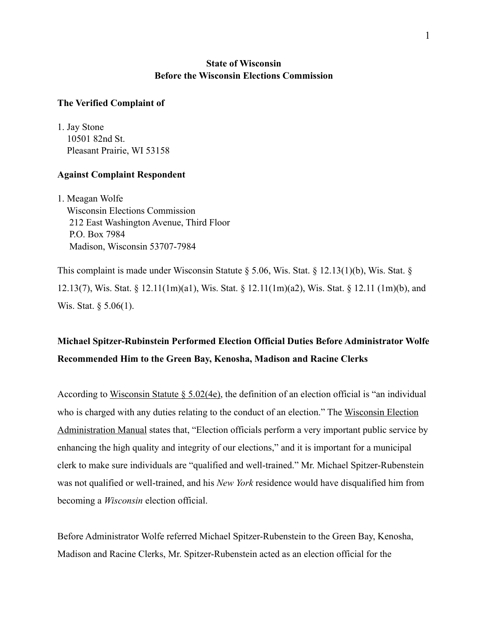### **State of Wisconsin Before the Wisconsin Elections Commission**

### **The Verified Complaint of**

1. Jay Stone 10501 82nd St. Pleasant Prairie, WI 53158

### **Against Complaint Respondent**

1. Meagan Wolfe Wisconsin Elections Commission 212 East Washington Avenue, Third Floor P.O. Box 7984 Madison, Wisconsin 53707-7984

This complaint is made under Wisconsin Statute § 5.06, Wis. Stat. § 12.13(1)(b), Wis. Stat. § 12.13(7), Wis. Stat. § 12.11(1m)(a1), Wis. Stat. § 12.11(1m)(a2), Wis. Stat. § 12.11 (1m)(b), and Wis. Stat. § 5.06(1).

## **Michael Spitzer-Rubinstein Performed Election Official Duties Before Administrator Wolfe Recommended Him to the Green Bay, Kenosha, Madison and Racine Clerks**

According to Wisconsin Statute  $\S 5.02(4e)$ , the definition of an election official is "an individual who is charged with any duties relating to the conduct of an election." The [Wisconsin Election](https://elections.wi.gov/sites/elections/files/2022-03/Election%20Administration%20Manual%20(2020-09).pdf)  [Administration Manual](https://elections.wi.gov/sites/elections/files/2022-03/Election%20Administration%20Manual%20(2020-09).pdf) states that, "Election officials perform a very important public service by enhancing the high quality and integrity of our elections," and it is important for a municipal clerk to make sure individuals are "qualified and well-trained." Mr. Michael Spitzer-Rubenstein was not qualified or well-trained, and his *New York* residence would have disqualified him from becoming a *Wisconsin* election official.

Before Administrator Wolfe referred Michael Spitzer-Rubenstein to the Green Bay, Kenosha, Madison and Racine Clerks, Mr. Spitzer-Rubenstein acted as an election official for the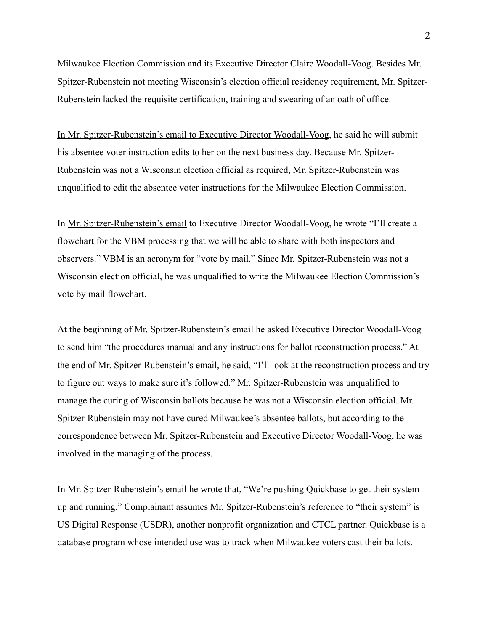Milwaukee Election Commission and its Executive Director Claire Woodall-Voog. Besides Mr. Spitzer-Rubenstein not meeting Wisconsin's election official residency requirement, Mr. Spitzer-Rubenstein lacked the requisite certification, training and swearing of an oath of office.

[In Mr. Spitzer-Rubenstein's email to Executive Director Woodall-Voog,](https://s17596.pcdn.co/wp-content/uploads/2021/05/Email-1.png) he said he will submit his absentee voter instruction edits to her on the next business day. Because Mr. Spitzer-Rubenstein was not a Wisconsin election official as required, Mr. Spitzer-Rubenstein was unqualified to edit the absentee voter instructions for the Milwaukee Election Commission.

In [Mr. Spitzer-Rubenstein's email](https://s17596.pcdn.co/wp-content/uploads/2021/05/Email-1.png) to Executive Director Woodall-Voog, he wrote "I'll create a flowchart for the VBM processing that we will be able to share with both inspectors and observers." VBM is an acronym for "vote by mail." Since Mr. Spitzer-Rubenstein was not a Wisconsin election official, he was unqualified to write the Milwaukee Election Commission's vote by mail flowchart.

At the beginning of [Mr. Spitzer-Rubenstein's email](https://s17596.pcdn.co/wp-content/uploads/2021/05/Email-1.png) he asked Executive Director Woodall-Voog to send him "the procedures manual and any instructions for ballot reconstruction process." At the end of Mr. Spitzer-Rubenstein's email, he said, "I'll look at the reconstruction process and try to figure out ways to make sure it's followed." Mr. Spitzer-Rubenstein was unqualified to manage the curing of Wisconsin ballots because he was not a Wisconsin election official. Mr. Spitzer-Rubenstein may not have cured Milwaukee's absentee ballots, but according to the correspondence between Mr. Spitzer-Rubenstein and Executive Director Woodall-Voog, he was involved in the managing of the process.

[In Mr. Spitzer-Rubenstein's email](https://s17596.pcdn.co/wp-content/uploads/2021/05/Email-1.png) he wrote that, "We're pushing Quickbase to get their system up and running." Complainant assumes Mr. Spitzer-Rubenstein's reference to "their system" is US Digital Response (USDR), another nonprofit organization and CTCL partner. Quickbase is a database program whose intended use was to track when Milwaukee voters cast their ballots.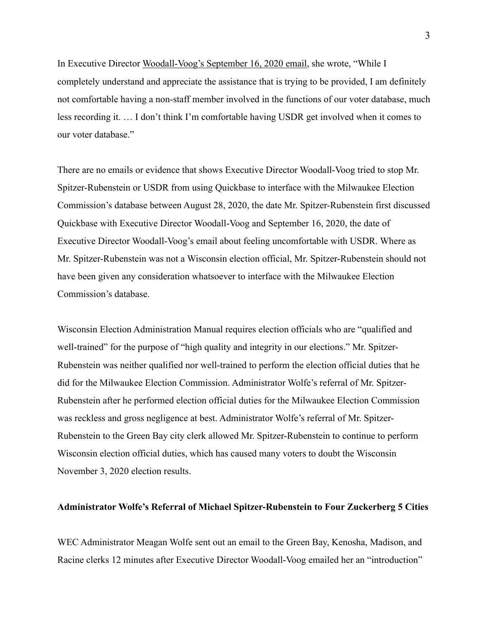In Executive Director [Woodall-Voog's September 16, 2020 email](https://s17596.pcdn.co/wp-content/uploads/2021/05/Email-2.png), she wrote, "While I completely understand and appreciate the assistance that is trying to be provided, I am definitely not comfortable having a non-staff member involved in the functions of our voter database, much less recording it. … I don't think I'm comfortable having USDR get involved when it comes to our voter database."

There are no emails or evidence that shows Executive Director Woodall-Voog tried to stop Mr. Spitzer-Rubenstein or USDR from using Quickbase to interface with the Milwaukee Election Commission's database between August 28, 2020, the date Mr. Spitzer-Rubenstein first discussed Quickbase with Executive Director Woodall-Voog and September 16, 2020, the date of Executive Director Woodall-Voog's email about feeling uncomfortable with USDR. Where as Mr. Spitzer-Rubenstein was not a Wisconsin election official, Mr. Spitzer-Rubenstein should not have been given any consideration whatsoever to interface with the Milwaukee Election Commission's database.

Wisconsin Election Administration Manual requires election officials who are "qualified and well-trained" for the purpose of "high quality and integrity in our elections." Mr. Spitzer-Rubenstein was neither qualified nor well-trained to perform the election official duties that he did for the Milwaukee Election Commission. Administrator Wolfe's referral of Mr. Spitzer-Rubenstein after he performed election official duties for the Milwaukee Election Commission was reckless and gross negligence at best. Administrator Wolfe's referral of Mr. Spitzer-Rubenstein to the Green Bay city clerk allowed Mr. Spitzer-Rubenstein to continue to perform Wisconsin election official duties, which has caused many voters to doubt the Wisconsin November 3, 2020 election results.

### **Administrator Wolfe's Referral of Michael Spitzer-Rubenstein to Four Zuckerberg 5 Cities**

WEC Administrator Meagan Wolfe sent out an email to the Green Bay, Kenosha, Madison, and Racine clerks 12 minutes after Executive Director Woodall-Voog emailed her an "introduction"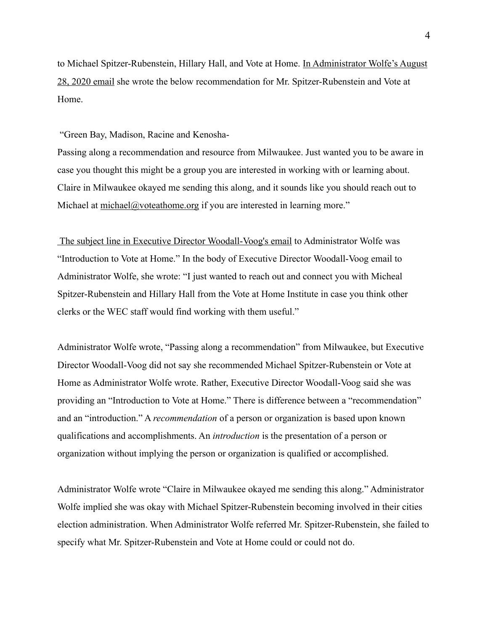to Michael Spitzer-Rubenstein, Hillary Hall, and Vote at Home. In Administrator Wolfe's August [28, 2020 email](https://s17596.pcdn.co/wp-content/uploads/2021/05/Email-3.png) she wrote the below recommendation for Mr. Spitzer-Rubenstein and Vote at Home.

"Green Bay, Madison, Racine and Kenosha-

Passing along a recommendation and resource from Milwaukee. Just wanted you to be aware in case you thought this might be a group you are interested in working with or learning about. Claire in Milwaukee okayed me sending this along, and it sounds like you should reach out to Michael at [michael@voteathome.org](mailto:michael@voteathome.org) if you are interested in learning more."

 [The subject line in Executive Director Woodall-Voog's email](https://s17596.pcdn.co/wp-content/uploads/2021/05/Email-3.png) to Administrator Wolfe was "Introduction to Vote at Home." In the body of Executive Director Woodall-Voog email to Administrator Wolfe, she wrote: "I just wanted to reach out and connect you with Micheal Spitzer-Rubenstein and Hillary Hall from the Vote at Home Institute in case you think other clerks or the WEC staff would find working with them useful."

Administrator Wolfe wrote, "Passing along a recommendation" from Milwaukee, but Executive Director Woodall-Voog did not say she recommended Michael Spitzer-Rubenstein or Vote at Home as Administrator Wolfe wrote. Rather, Executive Director Woodall-Voog said she was providing an "Introduction to Vote at Home." There is difference between a "recommendation" and an "introduction." A *recommendation* of a person or organization is based upon known qualifications and accomplishments. An *introduction* is the presentation of a person or organization without implying the person or organization is qualified or accomplished.

Administrator Wolfe wrote "Claire in Milwaukee okayed me sending this along." Administrator Wolfe implied she was okay with Michael Spitzer-Rubenstein becoming involved in their cities election administration. When Administrator Wolfe referred Mr. Spitzer-Rubenstein, she failed to specify what Mr. Spitzer-Rubenstein and Vote at Home could or could not do.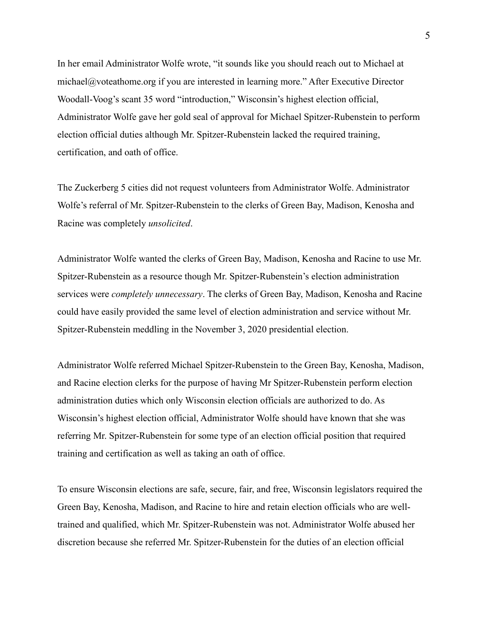In her email Administrator Wolfe wrote, "it sounds like you should reach out to Michael at michael@voteathome.org if you are interested in learning more." After Executive Director Woodall-Voog's scant 35 word "introduction," Wisconsin's highest election official, Administrator Wolfe gave her gold seal of approval for Michael Spitzer-Rubenstein to perform election official duties although Mr. Spitzer-Rubenstein lacked the required training, certification, and oath of office.

The Zuckerberg 5 cities did not request volunteers from Administrator Wolfe. Administrator Wolfe's referral of Mr. Spitzer-Rubenstein to the clerks of Green Bay, Madison, Kenosha and Racine was completely *unsolicited*.

Administrator Wolfe wanted the clerks of Green Bay, Madison, Kenosha and Racine to use Mr. Spitzer-Rubenstein as a resource though Mr. Spitzer-Rubenstein's election administration services were *completely unnecessary*. The clerks of Green Bay, Madison, Kenosha and Racine could have easily provided the same level of election administration and service without Mr. Spitzer-Rubenstein meddling in the November 3, 2020 presidential election.

Administrator Wolfe referred Michael Spitzer-Rubenstein to the Green Bay, Kenosha, Madison, and Racine election clerks for the purpose of having Mr Spitzer-Rubenstein perform election administration duties which only Wisconsin election officials are authorized to do. As Wisconsin's highest election official, Administrator Wolfe should have known that she was referring Mr. Spitzer-Rubenstein for some type of an election official position that required training and certification as well as taking an oath of office.

To ensure Wisconsin elections are safe, secure, fair, and free, Wisconsin legislators required the Green Bay, Kenosha, Madison, and Racine to hire and retain election officials who are welltrained and qualified, which Mr. Spitzer-Rubenstein was not. Administrator Wolfe abused her discretion because she referred Mr. Spitzer-Rubenstein for the duties of an election official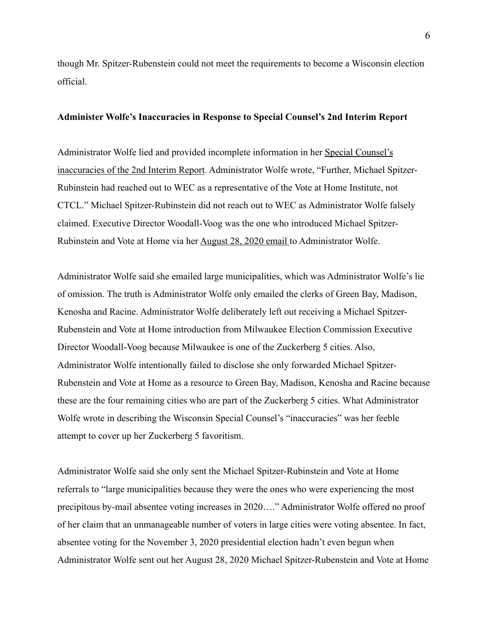though Mr. Spitzer-Rubenstein could not meet the requirements to become a Wisconsin election official.

### **Administer Wolfe's Inaccuracies in Response to Special Counsel's 2nd Interim Report**

Administrator Wolfe lied and provided incomplete information in her [Special Counsel's](https://elections.wi.gov/sites/elections/files/2022-03/Special%20Counsel%20Report%20Inaccuracies_1.pdf)  [inaccuracies of the 2nd Interim Report.](https://elections.wi.gov/sites/elections/files/2022-03/Special%20Counsel%20Report%20Inaccuracies_1.pdf) Administrator Wolfe wrote, "Further, Michael Spitzer-Rubinstein had reached out to WEC as a representative of the Vote at Home Institute, not CTCL." Michael Spitzer-Rubinstein did not reach out to WEC as Administrator Wolfe falsely claimed. Executive Director Woodall-Voog was the one who introduced Michael Spitzer-Rubinstein and Vote at Home via her [August 28, 2020 email t](https://s17596.pcdn.co/wp-content/uploads/2021/05/Email-3.png)o Administrator Wolfe.

Administrator Wolfe said she emailed large municipalities, which was Administrator Wolfe's lie of omission. The truth is Administrator Wolfe only emailed the clerks of Green Bay, Madison, Kenosha and Racine. Administrator Wolfe deliberately left out receiving a Michael Spitzer-Rubenstein and Vote at Home introduction from Milwaukee Election Commission Executive Director Woodall-Voog because Milwaukee is one of the Zuckerberg 5 cities. Also, Administrator Wolfe intentionally failed to disclose she only forwarded Michael Spitzer-Rubenstein and Vote at Home as a resource to Green Bay, Madison, Kenosha and Racine because these are the four remaining cities who are part of the Zuckerberg 5 cities. What Administrator Wolfe wrote in describing the Wisconsin Special Counsel's "inaccuracies" was her feeble attempt to cover up her Zuckerberg 5 favoritism.

Administrator Wolfe said she only sent the Michael Spitzer-Rubinstein and Vote at Home referrals to "large municipalities because they were the ones who were experiencing the most precipitous by-mail absentee voting increases in 2020…." Administrator Wolfe offered no proof of her claim that an unmanageable number of voters in large cities were voting absentee. In fact, absentee voting for the November 3, 2020 presidential election hadn't even begun when Administrator Wolfe sent out her August 28, 2020 Michael Spitzer-Rubenstein and Vote at Home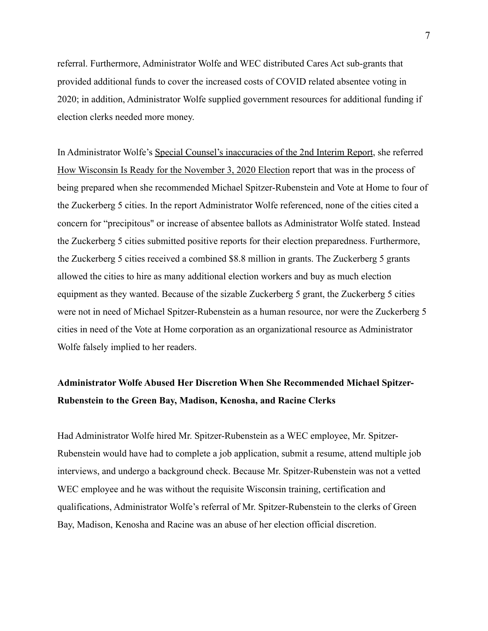referral. Furthermore, Administrator Wolfe and WEC distributed Cares Act sub-grants that provided additional funds to cover the increased costs of COVID related absentee voting in 2020; in addition, Administrator Wolfe supplied government resources for additional funding if election clerks needed more money.

In Administrator Wolfe's [Special Counsel's inaccuracies of the 2nd Interim Report](https://elections.wi.gov/sites/elections/files/2022-03/Special%20Counsel%20Report%20Inaccuracies_1.pdf), she referred [How Wisconsin Is Ready for the November 3, 2020 Election](https://elections.wi.gov/node/7079) report that was in the process of being prepared when she recommended Michael Spitzer-Rubenstein and Vote at Home to four of the Zuckerberg 5 cities. In the report Administrator Wolfe referenced, none of the cities cited a concern for "precipitous" or increase of absentee ballots as Administrator Wolfe stated. Instead the Zuckerberg 5 cities submitted positive reports for their election preparedness. Furthermore, the Zuckerberg 5 cities received a combined \$8.8 million in grants. The Zuckerberg 5 grants allowed the cities to hire as many additional election workers and buy as much election equipment as they wanted. Because of the sizable Zuckerberg 5 grant, the Zuckerberg 5 cities were not in need of Michael Spitzer-Rubenstein as a human resource, nor were the Zuckerberg 5 cities in need of the Vote at Home corporation as an organizational resource as Administrator Wolfe falsely implied to her readers.

## **Administrator Wolfe Abused Her Discretion When She Recommended Michael Spitzer-Rubenstein to the Green Bay, Madison, Kenosha, and Racine Clerks**

Had Administrator Wolfe hired Mr. Spitzer-Rubenstein as a WEC employee, Mr. Spitzer-Rubenstein would have had to complete a job application, submit a resume, attend multiple job interviews, and undergo a background check. Because Mr. Spitzer-Rubenstein was not a vetted WEC employee and he was without the requisite Wisconsin training, certification and qualifications, Administrator Wolfe's referral of Mr. Spitzer-Rubenstein to the clerks of Green Bay, Madison, Kenosha and Racine was an abuse of her election official discretion.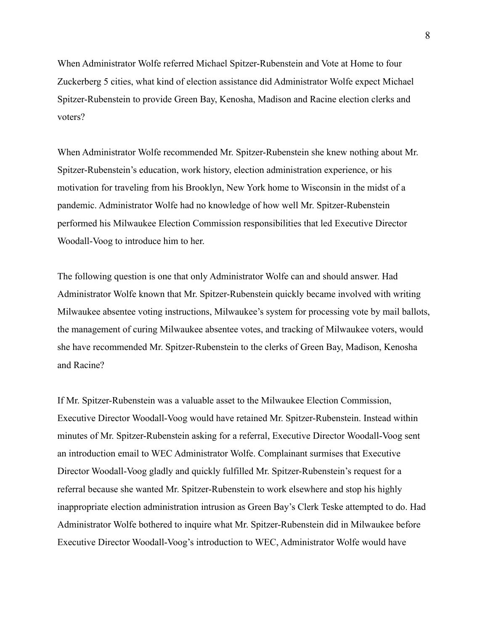When Administrator Wolfe referred Michael Spitzer-Rubenstein and Vote at Home to four Zuckerberg 5 cities, what kind of election assistance did Administrator Wolfe expect Michael Spitzer-Rubenstein to provide Green Bay, Kenosha, Madison and Racine election clerks and voters?

When Administrator Wolfe recommended Mr. Spitzer-Rubenstein she knew nothing about Mr. Spitzer-Rubenstein's education, work history, election administration experience, or his motivation for traveling from his Brooklyn, New York home to Wisconsin in the midst of a pandemic. Administrator Wolfe had no knowledge of how well Mr. Spitzer-Rubenstein performed his Milwaukee Election Commission responsibilities that led Executive Director Woodall-Voog to introduce him to her.

The following question is one that only Administrator Wolfe can and should answer. Had Administrator Wolfe known that Mr. Spitzer-Rubenstein quickly became involved with writing Milwaukee absentee voting instructions, Milwaukee's system for processing vote by mail ballots, the management of curing Milwaukee absentee votes, and tracking of Milwaukee voters, would she have recommended Mr. Spitzer-Rubenstein to the clerks of Green Bay, Madison, Kenosha and Racine?

If Mr. Spitzer-Rubenstein was a valuable asset to the Milwaukee Election Commission, Executive Director Woodall-Voog would have retained Mr. Spitzer-Rubenstein. Instead within minutes of Mr. Spitzer-Rubenstein asking for a referral, Executive Director Woodall-Voog sent an introduction email to WEC Administrator Wolfe. Complainant surmises that Executive Director Woodall-Voog gladly and quickly fulfilled Mr. Spitzer-Rubenstein's request for a referral because she wanted Mr. Spitzer-Rubenstein to work elsewhere and stop his highly inappropriate election administration intrusion as Green Bay's Clerk Teske attempted to do. Had Administrator Wolfe bothered to inquire what Mr. Spitzer-Rubenstein did in Milwaukee before Executive Director Woodall-Voog's introduction to WEC, Administrator Wolfe would have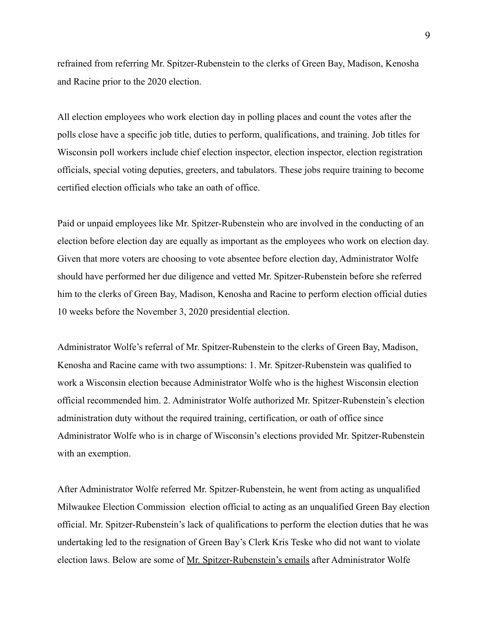refrained from referring Mr. Spitzer-Rubenstein to the clerks of Green Bay, Madison, Kenosha and Racine prior to the 2020 election.

All election employees who work election day in polling places and count the votes after the polls close have a specific job title, duties to perform, qualifications, and training. Job titles for Wisconsin poll workers include chief election inspector, election inspector, election registration officials, special voting deputies, greeters, and tabulators. These jobs require training to become certified election officials who take an oath of office.

Paid or unpaid employees like Mr. Spitzer-Rubenstein who are involved in the conducting of an election before election day are equally as important as the employees who work on election day. Given that more voters are choosing to vote absentee before election day, Administrator Wolfe should have performed her due diligence and vetted Mr. Spitzer-Rubenstein before she referred him to the clerks of Green Bay, Madison, Kenosha and Racine to perform election official duties 10 weeks before the November 3, 2020 presidential election.

Administrator Wolfe's referral of Mr. Spitzer-Rubenstein to the clerks of Green Bay, Madison, Kenosha and Racine came with two assumptions: 1. Mr. Spitzer-Rubenstein was qualified to work a Wisconsin election because Administrator Wolfe who is the highest Wisconsin election official recommended him. 2. Administrator Wolfe authorized Mr. Spitzer-Rubenstein's election administration duty without the required training, certification, or oath of office since Administrator Wolfe who is in charge of Wisconsin's elections provided Mr. Spitzer-Rubenstein with an exemption.

After Administrator Wolfe referred Mr. Spitzer-Rubenstein, he went from acting as unqualified Milwaukee Election Commission election official to acting as an unqualified Green Bay election official. Mr. Spitzer-Rubenstein's lack of qualifications to perform the election duties that he was undertaking led to the resignation of Green Bay's Clerk Kris Teske who did not want to violate election laws. Below are some of [Mr. Spitzer-Rubenstein's emails](https://legis.wisconsin.gov/assembly/22/brandtjen/media/1459/green-bay-3-10-21.pdf) after Administrator Wolfe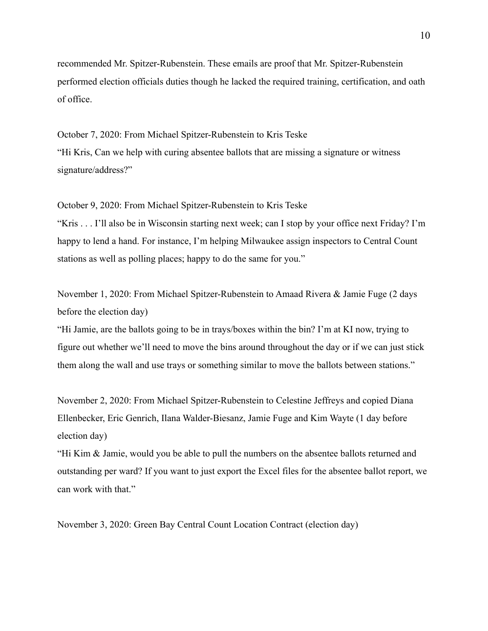recommended Mr. Spitzer-Rubenstein. These emails are proof that Mr. Spitzer-Rubenstein performed election officials duties though he lacked the required training, certification, and oath of office.

October 7, 2020: From Michael Spitzer-Rubenstein to Kris Teske "Hi Kris, Can we help with curing absentee ballots that are missing a signature or witness signature/address?"

October 9, 2020: From Michael Spitzer-Rubenstein to Kris Teske "Kris . . . I'll also be in Wisconsin starting next week; can I stop by your office next Friday? I'm happy to lend a hand. For instance, I'm helping Milwaukee assign inspectors to Central Count stations as well as polling places; happy to do the same for you."

November 1, 2020: From Michael Spitzer-Rubenstein to Amaad Rivera & Jamie Fuge (2 days before the election day)

"Hi Jamie, are the ballots going to be in trays/boxes within the bin? I'm at KI now, trying to figure out whether we'll need to move the bins around throughout the day or if we can just stick them along the wall and use trays or something similar to move the ballots between stations."

November 2, 2020: From Michael Spitzer-Rubenstein to Celestine Jeffreys and copied Diana Ellenbecker, Eric Genrich, Ilana Walder-Biesanz, Jamie Fuge and Kim Wayte (1 day before election day)

"Hi Kim & Jamie, would you be able to pull the numbers on the absentee ballots returned and outstanding per ward? If you want to just export the Excel files for the absentee ballot report, we can work with that."

November 3, 2020: Green Bay Central Count Location Contract (election day)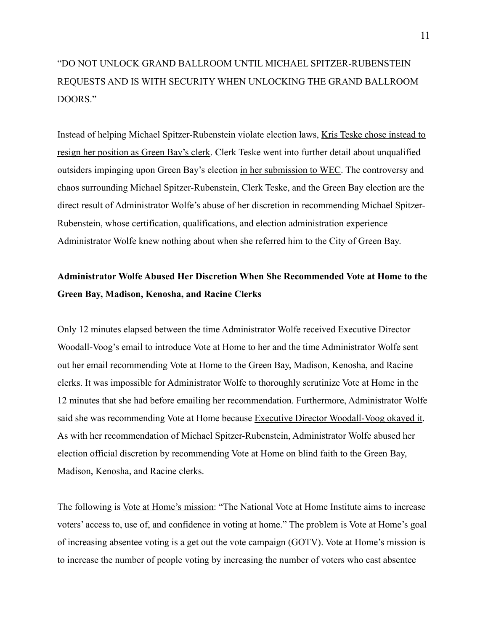# "DO NOT UNLOCK GRAND BALLROOM UNTIL MICHAEL SPITZER-RUBENSTEIN REQUESTS AND IS WITH SECURITY WHEN UNLOCKING THE GRAND BALLROOM DOORS."

Instead of helping Michael Spitzer-Rubenstein violate election laws, [Kris Teske chose instead to](https://wisconsinspotlight.com/clerk-i-will-not-break-the-law/)  [resign her position as Green Bay's clerk.](https://wisconsinspotlight.com/clerk-i-will-not-break-the-law/) Clerk Teske went into further detail about unqualified outsiders impinging upon Green Bay's election [in her submission to WEC.](https://elections.wi.gov/sites/elections.wi.gov/files/2021-06/Teske%20Complaint%20Answer%206-15-2021.pdf) The controversy and chaos surrounding Michael Spitzer-Rubenstein, Clerk Teske, and the Green Bay election are the direct result of Administrator Wolfe's abuse of her discretion in recommending Michael Spitzer-Rubenstein, whose certification, qualifications, and election administration experience Administrator Wolfe knew nothing about when she referred him to the City of Green Bay.

## **Administrator Wolfe Abused Her Discretion When She Recommended Vote at Home to the Green Bay, Madison, Kenosha, and Racine Clerks**

Only 12 minutes elapsed between the time Administrator Wolfe received Executive Director Woodall-Voog's email to introduce Vote at Home to her and the time Administrator Wolfe sent out her email recommending Vote at Home to the Green Bay, Madison, Kenosha, and Racine clerks. It was impossible for Administrator Wolfe to thoroughly scrutinize Vote at Home in the 12 minutes that she had before emailing her recommendation. Furthermore, Administrator Wolfe said she was recommending Vote at Home because [Executive Director Woodall-Voog okayed it](https://s17596.pcdn.co/wp-content/uploads/2021/05/Email-3.png). As with her recommendation of Michael Spitzer-Rubenstein, Administrator Wolfe abused her election official discretion by recommending Vote at Home on blind faith to the Green Bay, Madison, Kenosha, and Racine clerks.

The following is [Vote at Home's mission](https://voteathome.org/about-us/): "The National Vote at Home Institute aims to increase voters' access to, use of, and confidence in voting at home." The problem is Vote at Home's goal of increasing absentee voting is a get out the vote campaign (GOTV). Vote at Home's mission is to increase the number of people voting by increasing the number of voters who cast absentee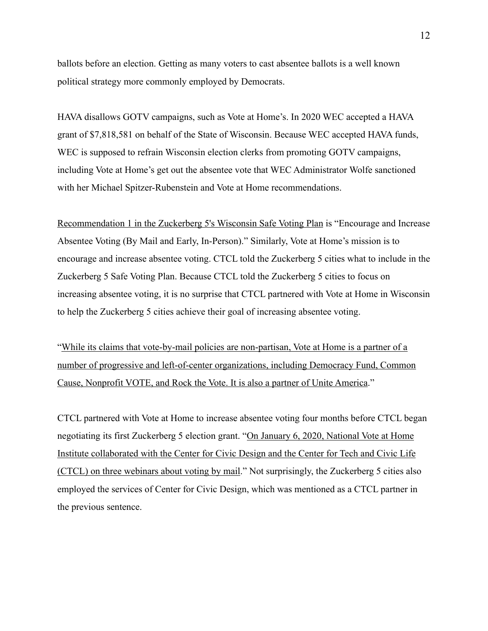ballots before an election. Getting as many voters to cast absentee ballots is a well known political strategy more commonly employed by Democrats.

HAVA disallows GOTV campaigns, such as Vote at Home's. In 2020 WEC accepted a HAVA grant of \$7,818,581 on behalf of the State of Wisconsin. Because WEC accepted HAVA funds, WEC is supposed to refrain Wisconsin election clerks from promoting GOTV campaigns, including Vote at Home's get out the absentee vote that WEC Administrator Wolfe sanctioned with her Michael Spitzer-Rubenstein and Vote at Home recommendations.

[Recommendation 1 in the Zuckerberg 5's Wisconsin Safe Voting Plan](https://www.techandciviclife.org/wp-content/uploads/2020/07/Approved-Wisconsin-Safe-Voting-Plan-2020.pdf) is "Encourage and Increase Absentee Voting (By Mail and Early, In-Person)." Similarly, Vote at Home's mission is to encourage and increase absentee voting. CTCL told the Zuckerberg 5 cities what to include in the Zuckerberg 5 Safe Voting Plan. Because CTCL told the Zuckerberg 5 cities to focus on increasing absentee voting, it is no surprise that CTCL partnered with Vote at Home in Wisconsin to help the Zuckerberg 5 cities achieve their goal of increasing absentee voting.

["While its claims that vote-by-mail policies are non-partisan, Vote at Home is a partner of a](https://www.influencewatch.org/non-profit/national-vote-at-home-institute/)  [number of progressive and left-of-center organizations, including Democracy Fund, Common](https://www.influencewatch.org/non-profit/national-vote-at-home-institute/)  [Cause, Nonprofit VOTE, and Rock the Vote. It is also a partner of Unite America.](https://www.influencewatch.org/non-profit/national-vote-at-home-institute/)"

CTCL partnered with Vote at Home to increase absentee voting four months before CTCL began negotiating its first Zuckerberg 5 election grant. "[On January 6, 2020, National Vote at Home](https://www.influencewatch.org/non-profit/national-vote-at-home-institute/)  [Institute collaborated with the Center for Civic Design and the Center for Tech and Civic Life](https://www.influencewatch.org/non-profit/national-vote-at-home-institute/)  [\(CTCL\) on three webinars about voting by mail.](https://www.influencewatch.org/non-profit/national-vote-at-home-institute/)" Not surprisingly, the Zuckerberg 5 cities also employed the services of Center for Civic Design, which was mentioned as a CTCL partner in the previous sentence.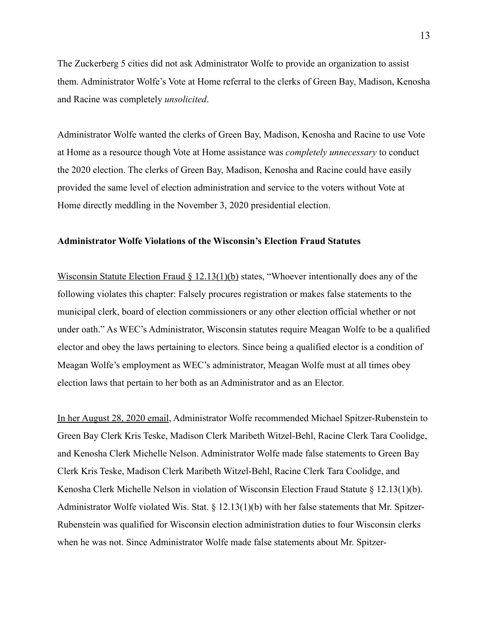The Zuckerberg 5 cities did not ask Administrator Wolfe to provide an organization to assist them. Administrator Wolfe's Vote at Home referral to the clerks of Green Bay, Madison, Kenosha and Racine was completely *unsolicited*.

Administrator Wolfe wanted the clerks of Green Bay, Madison, Kenosha and Racine to use Vote at Home as a resource though Vote at Home assistance was *completely unnecessary* to conduct the 2020 election. The clerks of Green Bay, Madison, Kenosha and Racine could have easily provided the same level of election administration and service to the voters without Vote at Home directly meddling in the November 3, 2020 presidential election.

### **Administrator Wolfe Violations of the Wisconsin's Election Fraud Statutes**

[Wisconsin Statute Election Fraud § 12.13\(1\)\(b\)](https://docs.legis.wisconsin.gov/statutes/statutes/12/11) states, "Whoever intentionally does any of the following violates this chapter: Falsely procures registration or makes false statements to the municipal clerk, board of election commissioners or any other election official whether or not under oath." As WEC's Administrator, Wisconsin statutes require Meagan Wolfe to be a qualified elector and obey the laws pertaining to electors. Since being a qualified elector is a condition of Meagan Wolfe's employment as WEC's administrator, Meagan Wolfe must at all times obey election laws that pertain to her both as an Administrator and as an Elector.

[In her August 28, 2020 email,](https://s17596.pcdn.co/wp-content/uploads/2021/05/Email-3.png) Administrator Wolfe recommended Michael Spitzer-Rubenstein to Green Bay Clerk Kris Teske, Madison Clerk Maribeth Witzel-Behl, Racine Clerk Tara Coolidge, and Kenosha Clerk Michelle Nelson. Administrator Wolfe made false statements to Green Bay Clerk Kris Teske, Madison Clerk Maribeth Witzel-Behl, Racine Clerk Tara Coolidge, and Kenosha Clerk Michelle Nelson in violation of Wisconsin Election Fraud Statute  $\S 12.13(1)(b)$ . Administrator Wolfe violated Wis. Stat.  $\S$  12.13(1)(b) with her false statements that Mr. Spitzer-Rubenstein was qualified for Wisconsin election administration duties to four Wisconsin clerks when he was not. Since Administrator Wolfe made false statements about Mr. Spitzer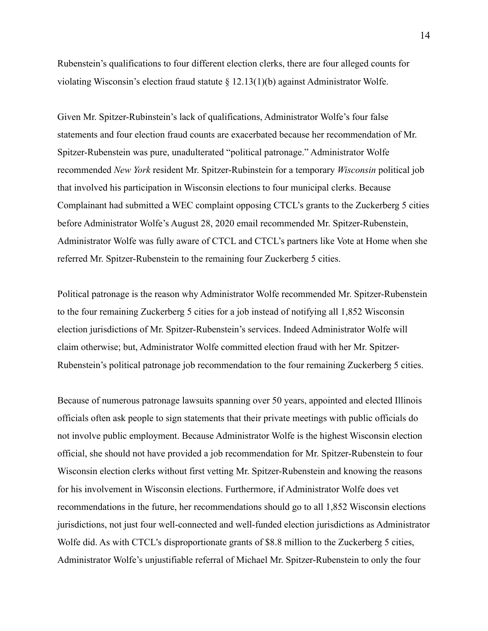Rubenstein's qualifications to four different election clerks, there are four alleged counts for violating Wisconsin's election fraud statute § 12.13(1)(b) against Administrator Wolfe.

Given Mr. Spitzer-Rubinstein's lack of qualifications, Administrator Wolfe's four false statements and four election fraud counts are exacerbated because her recommendation of Mr. Spitzer-Rubenstein was pure, unadulterated "political patronage." Administrator Wolfe recommended *New York* resident Mr. Spitzer-Rubinstein for a temporary *Wisconsin* political job that involved his participation in Wisconsin elections to four municipal clerks. Because Complainant had submitted a WEC complaint opposing CTCL's grants to the Zuckerberg 5 cities before Administrator Wolfe's August 28, 2020 email recommended Mr. Spitzer-Rubenstein, Administrator Wolfe was fully aware of CTCL and CTCL's partners like Vote at Home when she referred Mr. Spitzer-Rubenstein to the remaining four Zuckerberg 5 cities.

Political patronage is the reason why Administrator Wolfe recommended Mr. Spitzer-Rubenstein to the four remaining Zuckerberg 5 cities for a job instead of notifying all 1,852 Wisconsin election jurisdictions of Mr. Spitzer-Rubenstein's services. Indeed Administrator Wolfe will claim otherwise; but, Administrator Wolfe committed election fraud with her Mr. Spitzer-Rubenstein's political patronage job recommendation to the four remaining Zuckerberg 5 cities.

Because of numerous patronage lawsuits spanning over 50 years, appointed and elected Illinois officials often ask people to sign statements that their private meetings with public officials do not involve public employment. Because Administrator Wolfe is the highest Wisconsin election official, she should not have provided a job recommendation for Mr. Spitzer-Rubenstein to four Wisconsin election clerks without first vetting Mr. Spitzer-Rubenstein and knowing the reasons for his involvement in Wisconsin elections. Furthermore, if Administrator Wolfe does vet recommendations in the future, her recommendations should go to all 1,852 Wisconsin elections jurisdictions, not just four well-connected and well-funded election jurisdictions as Administrator Wolfe did. As with CTCL's disproportionate grants of \$8.8 million to the Zuckerberg 5 cities, Administrator Wolfe's unjustifiable referral of Michael Mr. Spitzer-Rubenstein to only the four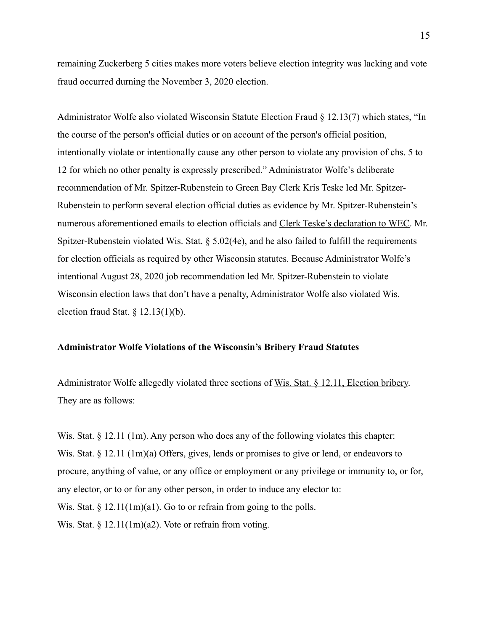remaining Zuckerberg 5 cities makes more voters believe election integrity was lacking and vote fraud occurred durning the November 3, 2020 election.

Administrator Wolfe also violated [Wisconsin Statute Election Fraud § 12.13\(7\)](https://docs.legis.wisconsin.gov/statutes/statutes/12/11) which states, "In the course of the person's official duties or on account of the person's official position, intentionally violate or intentionally cause any other person to violate any provision of chs. 5 to 12 for which no other penalty is expressly prescribed." Administrator Wolfe's deliberate recommendation of Mr. Spitzer-Rubenstein to Green Bay Clerk Kris Teske led Mr. Spitzer-Rubenstein to perform several election official duties as evidence by Mr. Spitzer-Rubenstein's numerous aforementioned emails to election officials and [Clerk Teske's declaration to WEC](https://elections.wi.gov/sites/elections.wi.gov/files/2021-06/Teske%20Complaint%20Answer%206-15-2021.pdf). Mr. Spitzer-Rubenstein violated Wis. Stat. § 5.02(4e), and he also failed to fulfill the requirements for election officials as required by other Wisconsin statutes. Because Administrator Wolfe's intentional August 28, 2020 job recommendation led Mr. Spitzer-Rubenstein to violate Wisconsin election laws that don't have a penalty, Administrator Wolfe also violated Wis. election fraud Stat.  $\S$  12.13(1)(b).

### **Administrator Wolfe Violations of the Wisconsin's Bribery Fraud Statutes**

Administrator Wolfe allegedly violated three sections of [Wis. Stat. § 12.11, Election bribery](https://docs.legis.wisconsin.gov/statutes/statutes/12/11). They are as follows:

Wis. Stat.  $\S 12.11$  (1m). Any person who does any of the following violates this chapter: Wis. Stat. § 12.11 (1m)(a) Offers, gives, lends or promises to give or lend, or endeavors to procure, anything of value, or any office or employment or any privilege or immunity to, or for, any elector, or to or for any other person, in order to induce any elector to: Wis. Stat.  $\S 12.11(1m)(a1)$ . Go to or refrain from going to the polls. Wis. Stat.  $\S 12.11(1m)(a2)$ . Vote or refrain from voting.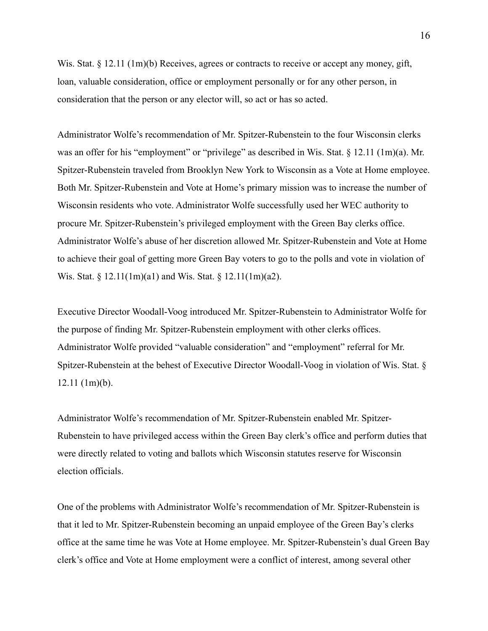Wis. Stat. § 12.11 (1m)(b) Receives, agrees or contracts to receive or accept any money, gift, loan, valuable consideration, office or employment personally or for any other person, in consideration that the person or any elector will, so act or has so acted.

Administrator Wolfe's recommendation of Mr. Spitzer-Rubenstein to the four Wisconsin clerks was an offer for his "employment" or "privilege" as described in Wis. Stat. § 12.11 (1m)(a). Mr. Spitzer-Rubenstein traveled from Brooklyn New York to Wisconsin as a Vote at Home employee. Both Mr. Spitzer-Rubenstein and Vote at Home's primary mission was to increase the number of Wisconsin residents who vote. Administrator Wolfe successfully used her WEC authority to procure Mr. Spitzer-Rubenstein's privileged employment with the Green Bay clerks office. Administrator Wolfe's abuse of her discretion allowed Mr. Spitzer-Rubenstein and Vote at Home to achieve their goal of getting more Green Bay voters to go to the polls and vote in violation of Wis. Stat. § 12.11(1m)(a1) and Wis. Stat. § 12.11(1m)(a2).

Executive Director Woodall-Voog introduced Mr. Spitzer-Rubenstein to Administrator Wolfe for the purpose of finding Mr. Spitzer-Rubenstein employment with other clerks offices. Administrator Wolfe provided "valuable consideration" and "employment" referral for Mr. Spitzer-Rubenstein at the behest of Executive Director Woodall-Voog in violation of Wis. Stat. § 12.11 (1m)(b).

Administrator Wolfe's recommendation of Mr. Spitzer-Rubenstein enabled Mr. Spitzer-Rubenstein to have privileged access within the Green Bay clerk's office and perform duties that were directly related to voting and ballots which Wisconsin statutes reserve for Wisconsin election officials.

One of the problems with Administrator Wolfe's recommendation of Mr. Spitzer-Rubenstein is that it led to Mr. Spitzer-Rubenstein becoming an unpaid employee of the Green Bay's clerks office at the same time he was Vote at Home employee. Mr. Spitzer-Rubenstein's dual Green Bay clerk's office and Vote at Home employment were a conflict of interest, among several other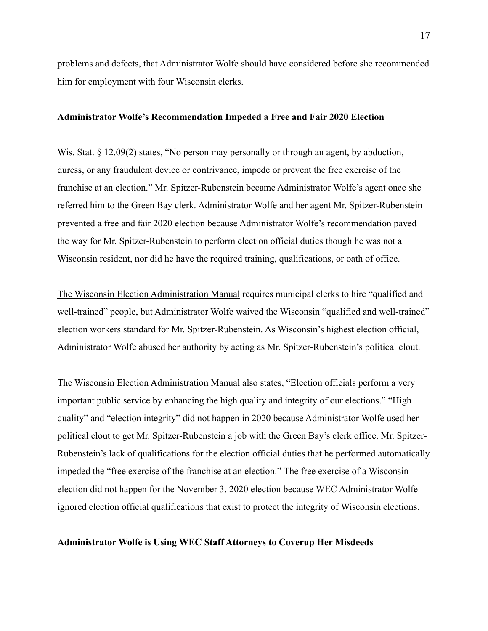problems and defects, that Administrator Wolfe should have considered before she recommended him for employment with four Wisconsin clerks.

#### **Administrator Wolfe's Recommendation Impeded a Free and Fair 2020 Election**

Wis. Stat. § 12.09(2) states, "No person may personally or through an agent, by abduction, duress, or any fraudulent device or contrivance, impede or prevent the free exercise of the franchise at an election." Mr. Spitzer-Rubenstein became Administrator Wolfe's agent once she referred him to the Green Bay clerk. Administrator Wolfe and her agent Mr. Spitzer-Rubenstein prevented a free and fair 2020 election because Administrator Wolfe's recommendation paved the way for Mr. Spitzer-Rubenstein to perform election official duties though he was not a Wisconsin resident, nor did he have the required training, qualifications, or oath of office.

[The Wisconsin Election Administration Manual](https://elections.wi.gov/sites/elections/files/2022-03/Election%20Administration%20Manual%20(2020-09).pdf) requires municipal clerks to hire "qualified and well-trained" people, but Administrator Wolfe waived the Wisconsin "qualified and well-trained" election workers standard for Mr. Spitzer-Rubenstein. As Wisconsin's highest election official, Administrator Wolfe abused her authority by acting as Mr. Spitzer-Rubenstein's political clout.

[The Wisconsin Election Administration Manual](https://elections.wi.gov/sites/elections/files/2022-03/Election%20Administration%20Manual%20(2020-09).pdf) also states, "Election officials perform a very important public service by enhancing the high quality and integrity of our elections." "High quality" and "election integrity" did not happen in 2020 because Administrator Wolfe used her political clout to get Mr. Spitzer-Rubenstein a job with the Green Bay's clerk office. Mr. Spitzer-Rubenstein's lack of qualifications for the election official duties that he performed automatically impeded the "free exercise of the franchise at an election." The free exercise of a Wisconsin election did not happen for the November 3, 2020 election because WEC Administrator Wolfe ignored election official qualifications that exist to protect the integrity of Wisconsin elections.

### **Administrator Wolfe is Using WEC Staff Attorneys to Coverup Her Misdeeds**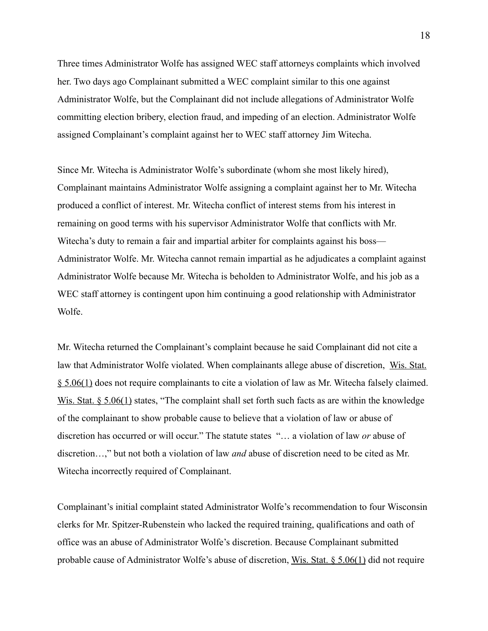Three times Administrator Wolfe has assigned WEC staff attorneys complaints which involved her. Two days ago Complainant submitted a WEC complaint similar to this one against Administrator Wolfe, but the Complainant did not include allegations of Administrator Wolfe committing election bribery, election fraud, and impeding of an election. Administrator Wolfe assigned Complainant's complaint against her to WEC staff attorney Jim Witecha.

Since Mr. Witecha is Administrator Wolfe's subordinate (whom she most likely hired), Complainant maintains Administrator Wolfe assigning a complaint against her to Mr. Witecha produced a conflict of interest. Mr. Witecha conflict of interest stems from his interest in remaining on good terms with his supervisor Administrator Wolfe that conflicts with Mr. Witecha's duty to remain a fair and impartial arbiter for complaints against his boss— Administrator Wolfe. Mr. Witecha cannot remain impartial as he adjudicates a complaint against Administrator Wolfe because Mr. Witecha is beholden to Administrator Wolfe, and his job as a WEC staff attorney is contingent upon him continuing a good relationship with Administrator Wolfe.

Mr. Witecha returned the Complainant's complaint because he said Complainant did not cite a law that Administrator Wolfe violated. When complainants allege abuse of discretion, [Wis. Stat.](https://docs.legis.wisconsin.gov/statutes/statutes/5/i/06?view=section)  [§ 5.06\(1\)](https://docs.legis.wisconsin.gov/statutes/statutes/5/i/06?view=section) does not require complainants to cite a violation of law as Mr. Witecha falsely claimed. [Wis. Stat. § 5.06\(1\)](https://docs.legis.wisconsin.gov/statutes/statutes/5/i/06?view=section) states, "The complaint shall set forth such facts as are within the knowledge of the complainant to show probable cause to believe that a violation of law or abuse of discretion has occurred or will occur." The statute states "… a violation of law *or* abuse of discretion…," but not both a violation of law *and* abuse of discretion need to be cited as Mr. Witecha incorrectly required of Complainant.

Complainant's initial complaint stated Administrator Wolfe's recommendation to four Wisconsin clerks for Mr. Spitzer-Rubenstein who lacked the required training, qualifications and oath of office was an abuse of Administrator Wolfe's discretion. Because Complainant submitted probable cause of Administrator Wolfe's abuse of discretion, [Wis. Stat. § 5.06\(1\)](https://docs.legis.wisconsin.gov/statutes/statutes/5/i/06?view=section) did not require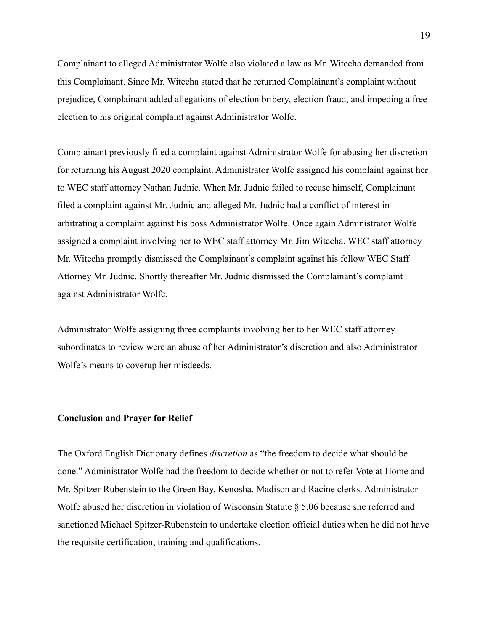Complainant to alleged Administrator Wolfe also violated a law as Mr. Witecha demanded from this Complainant. Since Mr. Witecha stated that he returned Complainant's complaint without prejudice, Complainant added allegations of election bribery, election fraud, and impeding a free election to his original complaint against Administrator Wolfe.

Complainant previously filed a complaint against Administrator Wolfe for abusing her discretion for returning his August 2020 complaint. Administrator Wolfe assigned his complaint against her to WEC staff attorney Nathan Judnic. When Mr. Judnic failed to recuse himself, Complainant filed a complaint against Mr. Judnic and alleged Mr. Judnic had a conflict of interest in arbitrating a complaint against his boss Administrator Wolfe. Once again Administrator Wolfe assigned a complaint involving her to WEC staff attorney Mr. Jim Witecha. WEC staff attorney Mr. Witecha promptly dismissed the Complainant's complaint against his fellow WEC Staff Attorney Mr. Judnic. Shortly thereafter Mr. Judnic dismissed the Complainant's complaint against Administrator Wolfe.

Administrator Wolfe assigning three complaints involving her to her WEC staff attorney subordinates to review were an abuse of her Administrator's discretion and also Administrator Wolfe's means to coverup her misdeeds.

### **Conclusion and Prayer for Relief**

The Oxford English Dictionary defines *discretion* as "the freedom to decide what should be done." Administrator Wolfe had the freedom to decide whether or not to refer Vote at Home and Mr. Spitzer-Rubenstein to the Green Bay, Kenosha, Madison and Racine clerks. Administrator Wolfe abused her discretion in violation of [Wisconsin Statute § 5.06](https://docs.legis.wisconsin.gov/statutes/statutes/5/i/06) because she referred and sanctioned Michael Spitzer-Rubenstein to undertake election official duties when he did not have the requisite certification, training and qualifications.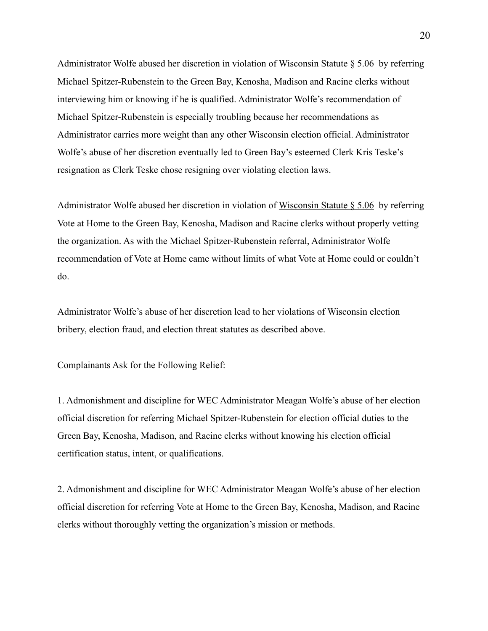Administrator Wolfe abused her discretion in violation of [Wisconsin Statute § 5.06](https://docs.legis.wisconsin.gov/statutes/statutes/5/i/06) by referring Michael Spitzer-Rubenstein to the Green Bay, Kenosha, Madison and Racine clerks without interviewing him or knowing if he is qualified. Administrator Wolfe's recommendation of Michael Spitzer-Rubenstein is especially troubling because her recommendations as Administrator carries more weight than any other Wisconsin election official. Administrator Wolfe's abuse of her discretion eventually led to Green Bay's esteemed Clerk Kris Teske's resignation as Clerk Teske chose resigning over violating election laws.

Administrator Wolfe abused her discretion in violation of [Wisconsin Statute § 5.06](https://docs.legis.wisconsin.gov/statutes/statutes/5/i/06) by referring Vote at Home to the Green Bay, Kenosha, Madison and Racine clerks without properly vetting the organization. As with the Michael Spitzer-Rubenstein referral, Administrator Wolfe recommendation of Vote at Home came without limits of what Vote at Home could or couldn't do.

Administrator Wolfe's abuse of her discretion lead to her violations of Wisconsin election bribery, election fraud, and election threat statutes as described above.

Complainants Ask for the Following Relief:

1. Admonishment and discipline for WEC Administrator Meagan Wolfe's abuse of her election official discretion for referring Michael Spitzer-Rubenstein for election official duties to the Green Bay, Kenosha, Madison, and Racine clerks without knowing his election official certification status, intent, or qualifications.

2. Admonishment and discipline for WEC Administrator Meagan Wolfe's abuse of her election official discretion for referring Vote at Home to the Green Bay, Kenosha, Madison, and Racine clerks without thoroughly vetting the organization's mission or methods.